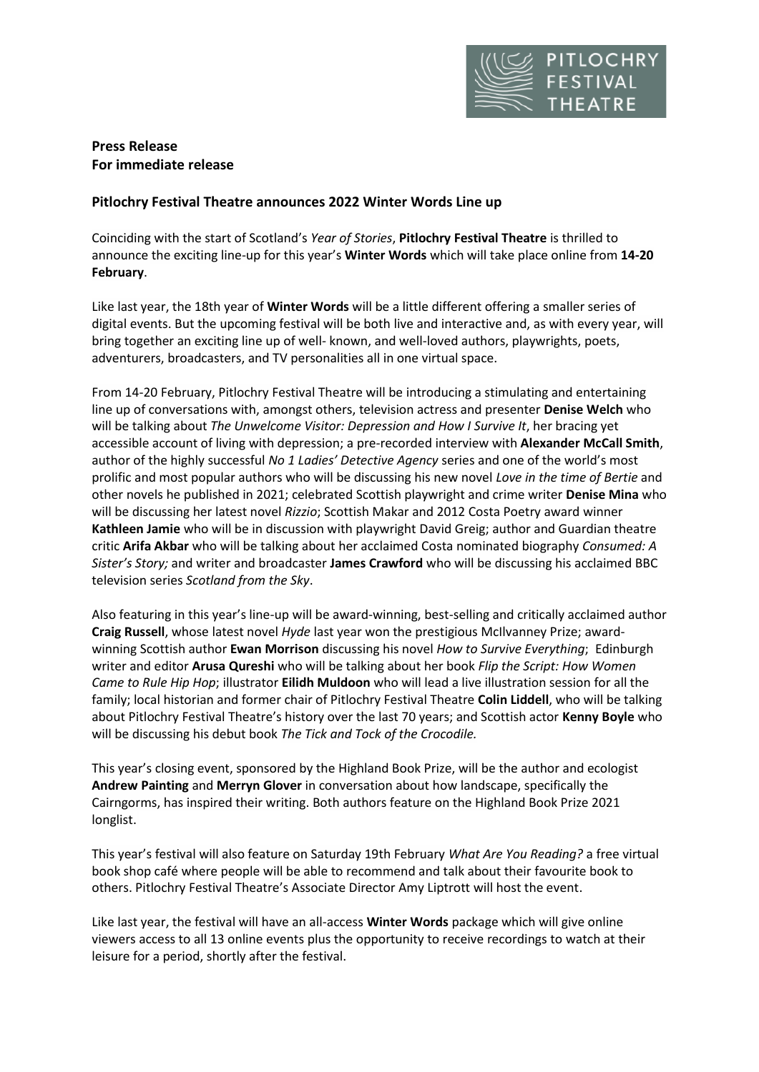

# **Press Release For immediate release**

## **Pitlochry Festival Theatre announces 2022 Winter Words Line up**

Coinciding with the start of Scotland's *Year of Stories*, **Pitlochry Festival Theatre** is thrilled to announce the exciting line-up for this year's **Winter Words** which will take place online from **14-20 February**.

Like last year, the 18th year of **Winter Words** will be a little different offering a smaller series of digital events. But the upcoming festival will be both live and interactive and, as with every year, will bring together an exciting line up of well- known, and well-loved authors, playwrights, poets, adventurers, broadcasters, and TV personalities all in one virtual space.

From 14-20 February, Pitlochry Festival Theatre will be introducing a stimulating and entertaining line up of conversations with, amongst others, television actress and presenter **Denise Welch** who will be talking about *The Unwelcome Visitor: Depression and How I Survive It*, her bracing yet accessible account of living with depression; a pre-recorded interview with **Alexander McCall Smith**, author of the highly successful *No 1 Ladies' Detective Agency* series and one of the world's most prolific and most popular authors who will be discussing his new novel *Love in the time of Bertie* and other novels he published in 2021; celebrated Scottish playwright and crime writer **Denise Mina** who will be discussing her latest novel *Rizzio*; Scottish Makar and 2012 Costa Poetry award winner **Kathleen Jamie** who will be in discussion with playwright David Greig; author and Guardian theatre critic **Arifa Akbar** who will be talking about her acclaimed Costa nominated biography *Consumed: A Sister's Story;* and writer and broadcaster **James Crawford** who will be discussing his acclaimed BBC television series *Scotland from the Sky*.

Also featuring in this year's line-up will be award-winning, best-selling and critically acclaimed author **Craig Russell**, whose latest novel *Hyde* last year won the prestigious McIlvanney Prize; awardwinning Scottish author **Ewan Morrison** discussing his novel *How to Survive Everything*; Edinburgh writer and editor **Arusa Qureshi** who will be talking about her book *Flip the Script: How Women Came to Rule Hip Hop*; illustrator **Eilidh Muldoon** who will lead a live illustration session for all the family; local historian and former chair of Pitlochry Festival Theatre **Colin Liddell**, who will be talking about Pitlochry Festival Theatre's history over the last 70 years; and Scottish actor **Kenny Boyle** who will be discussing his debut book *The Tick and Tock of the Crocodile.*

This year's closing event, sponsored by the Highland Book Prize, will be the author and ecologist **Andrew Painting** and **Merryn Glover** in conversation about how landscape, specifically the Cairngorms, has inspired their writing. Both authors feature on the Highland Book Prize 2021 longlist.

This year's festival will also feature on Saturday 19th February *What Are You Reading?* a free virtual book shop café where people will be able to recommend and talk about their favourite book to others. Pitlochry Festival Theatre's Associate Director Amy Liptrott will host the event.

Like last year, the festival will have an all-access **Winter Words** package which will give online viewers access to all 13 online events plus the opportunity to receive recordings to watch at their leisure for a period, shortly after the festival.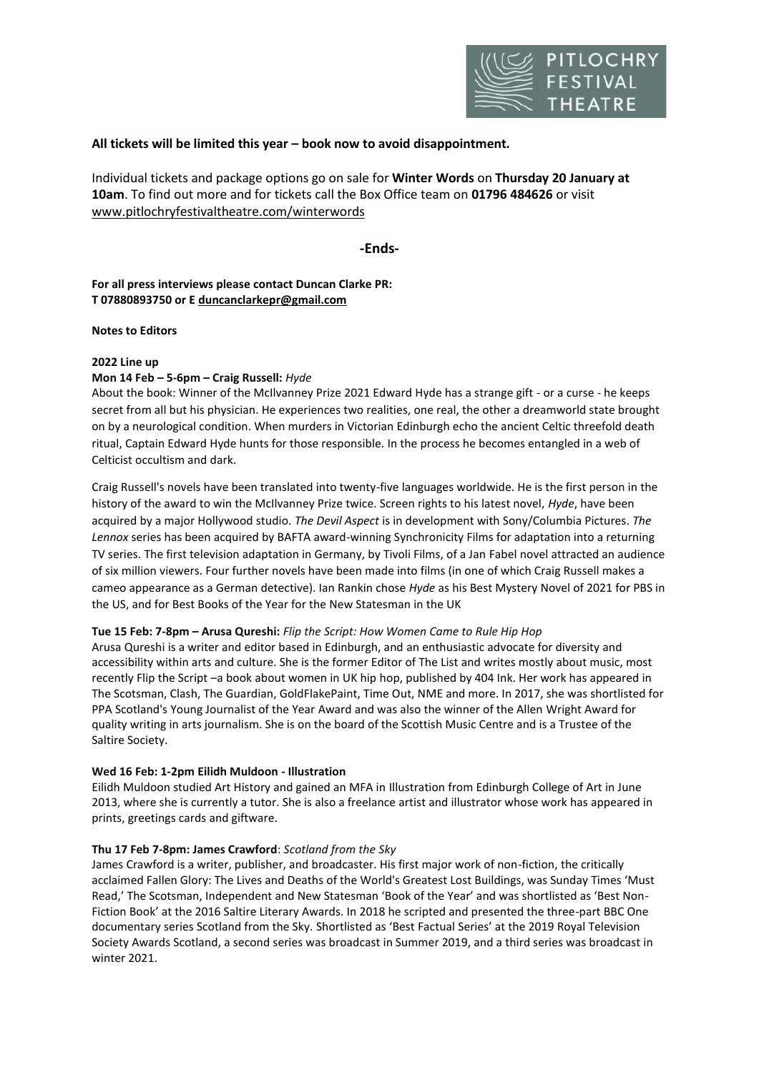

## **All tickets will be limited this year – book now to avoid disappointment.**

Individual tickets and package options go on sale for **Winter Words** on **Thursday 20 January at 10am**. To find out more and for tickets call the Box Office team on **01796 484626** or visit [www.pitlochryfestivaltheatre.com/](http://www.pitlochryfestivaltheatre.com/)winterwords

**-Ends-**

**For all press interviews please contact Duncan Clarke PR: T 07880893750 or E [duncanclarkepr@gmail.com](mailto:duncanclarkepr@gmail.com)**

#### **Notes to Editors**

#### **2022 Line up**

## **Mon 14 Feb – 5-6pm – Craig Russell:** *Hyde*

About the book: Winner of the McIlvanney Prize 2021 Edward Hyde has a strange gift - or a curse - he keeps secret from all but his physician. He experiences two realities, one real, the other a dreamworld state brought on by a neurological condition. When murders in Victorian Edinburgh echo the ancient Celtic threefold death ritual, Captain Edward Hyde hunts for those responsible. In the process he becomes entangled in a web of Celticist occultism and dark.

Craig Russell's novels have been translated into twenty-five languages worldwide. He is the first person in the history of the award to win the McIlvanney Prize twice. Screen rights to his latest novel, *Hyde*, have been acquired by a major Hollywood studio. *The Devil Aspect* is in development with Sony/Columbia Pictures. *The Lennox* series has been acquired by BAFTA award-winning Synchronicity Films for adaptation into a returning TV series. The first television adaptation in Germany, by Tivoli Films, of a Jan Fabel novel attracted an audience of six million viewers. Four further novels have been made into films (in one of which Craig Russell makes a cameo appearance as a German detective). Ian Rankin chose *Hyde* as his Best Mystery Novel of 2021 for PBS in the US, and for Best Books of the Year for the New Statesman in the UK

#### **Tue 15 Feb: 7-8pm – Arusa Qureshi:** *Flip the Script: How Women Came to Rule Hip Hop*

Arusa Qureshi is a writer and editor based in Edinburgh, and an enthusiastic advocate for diversity and accessibility within arts and culture. She is the former Editor of The List and writes mostly about music, most recently Flip the Script –a book about women in UK hip hop, published by 404 Ink. Her work has appeared in The Scotsman, Clash, The Guardian, GoldFlakePaint, Time Out, NME and more. In 2017, she was shortlisted for PPA Scotland's Young Journalist of the Year Award and was also the winner of the Allen Wright Award for quality writing in arts journalism. She is on the board of the Scottish Music Centre and is a Trustee of the Saltire Society.

## **Wed 16 Feb: 1-2pm Eilidh Muldoon - Illustration**

Eilidh Muldoon studied Art History and gained an MFA in Illustration from Edinburgh College of Art in June 2013, where she is currently a tutor. She is also a freelance artist and illustrator whose work has appeared in prints, greetings cards and giftware.

## **Thu 17 Feb 7-8pm: James Crawford**: *Scotland from the Sky*

James Crawford is a writer, publisher, and broadcaster. His first major work of non-fiction, the critically acclaimed Fallen Glory: The Lives and Deaths of the World's Greatest Lost Buildings, was Sunday Times 'Must Read,' The Scotsman, Independent and New Statesman 'Book of the Year' and was shortlisted as 'Best Non-Fiction Book' at the 2016 Saltire Literary Awards. In 2018 he scripted and presented the three-part BBC One documentary series Scotland from the Sky. Shortlisted as 'Best Factual Series' at the 2019 Royal Television Society Awards Scotland, a second series was broadcast in Summer 2019, and a third series was broadcast in winter 2021.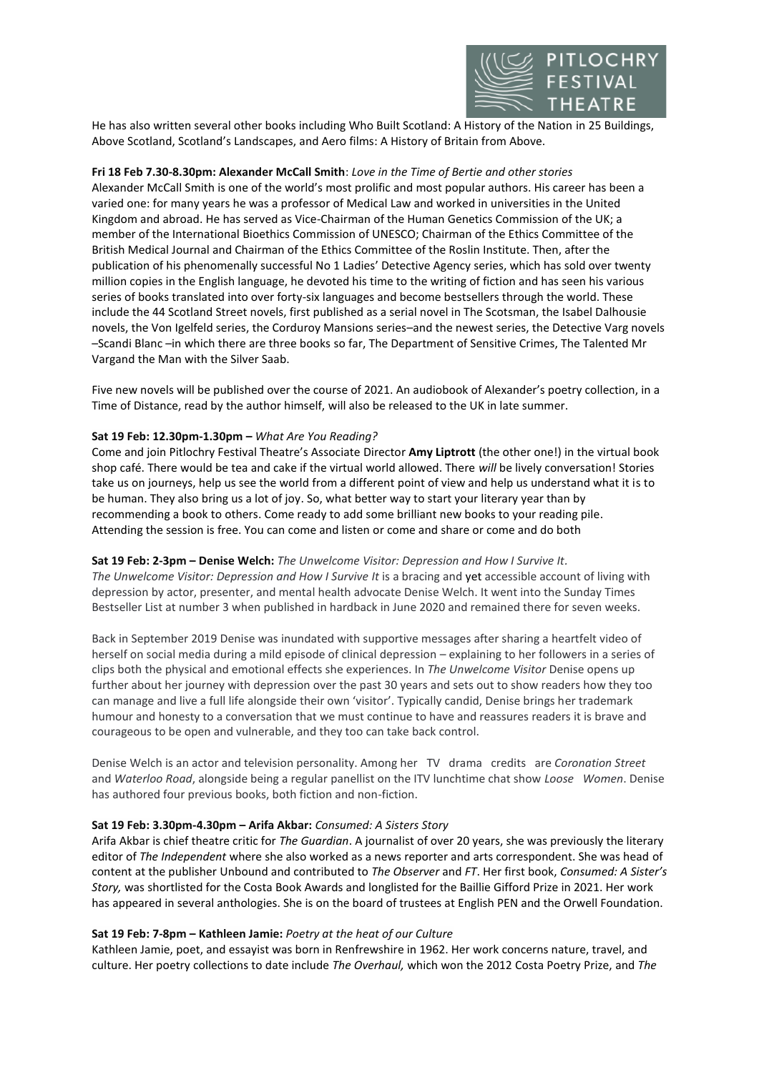

He has also written several other books including Who Built Scotland: A History of the Nation in 25 Buildings, Above Scotland, Scotland's Landscapes, and Aero films: A History of Britain from Above.

## **Fri 18 Feb 7.30-8.30pm: Alexander McCall Smith**: *Love in the Time of Bertie and other stories*

Alexander McCall Smith is one of the world's most prolific and most popular authors. His career has been a varied one: for many years he was a professor of Medical Law and worked in universities in the United Kingdom and abroad. He has served as Vice-Chairman of the Human Genetics Commission of the UK; a member of the International Bioethics Commission of UNESCO; Chairman of the Ethics Committee of the British Medical Journal and Chairman of the Ethics Committee of the Roslin Institute. Then, after the publication of his phenomenally successful No 1 Ladies' Detective Agency series, which has sold over twenty million copies in the English language, he devoted his time to the writing of fiction and has seen his various series of books translated into over forty-six languages and become bestsellers through the world. These include the 44 Scotland Street novels, first published as a serial novel in The Scotsman, the Isabel Dalhousie novels, the Von Igelfeld series, the Corduroy Mansions series–and the newest series, the Detective Varg novels –Scandi Blanc –in which there are three books so far, The Department of Sensitive Crimes, The Talented Mr Vargand the Man with the Silver Saab.

Five new novels will be published over the course of 2021. An audiobook of Alexander's poetry collection, in a Time of Distance, read by the author himself, will also be released to the UK in late summer.

#### **Sat 19 Feb: 12.30pm-1.30pm –** *What Are You Reading?*

Come and join Pitlochry Festival Theatre's Associate Director **Amy Liptrott** (the other one!) in the virtual book shop café. There would be tea and cake if the virtual world allowed. There *will* be lively conversation! Stories take us on journeys, help us see the world from a different point of view and help us understand what it is to be human. They also bring us a lot of joy. So, what better way to start your literary year than by recommending a book to others. Come ready to add some brilliant new books to your reading pile. Attending the session is free. You can come and listen or come and share or come and do both

#### **Sat 19 Feb: 2-3pm – Denise Welch:** *The Unwelcome Visitor: Depression and How I Survive It.*

*The Unwelcome Visitor: Depression and How I Survive It* is a bracing and yet accessible account of living with depression by actor, presenter, and mental health advocate Denise Welch. It went into the Sunday Times Bestseller List at number 3 when published in hardback in June 2020 and remained there for seven weeks.

Back in September 2019 Denise was inundated with supportive messages after sharing a heartfelt video of herself on social media during a mild episode of clinical depression – explaining to her followers in a series of clips both the physical and emotional effects she experiences. In *The Unwelcome Visitor* Denise opens up further about her journey with depression over the past 30 years and sets out to show readers how they too can manage and live a full life alongside their own 'visitor'. Typically candid, Denise brings her trademark humour and honesty to a conversation that we must continue to have and reassures readers it is brave and courageous to be open and vulnerable, and they too can take back control.

Denise Welch is an actor and television personality. Among her TV drama credits are *Coronation Street* and *Waterloo Road*, alongside being a regular panellist on the ITV lunchtime chat show *Loose Women*. Denise has authored four previous books, both fiction and non-fiction.

#### **Sat 19 Feb: 3.30pm-4.30pm – Arifa Akbar:** *Consumed: A Sisters Story*

Arifa Akbar is chief theatre critic for *The Guardian*. A journalist of over 20 years, she was previously the literary editor of *The Independent* where she also worked as a news reporter and arts correspondent. She was head of content at the publisher Unbound and contributed to *The Observer* and *FT*. Her first book, *Consumed: A Sister's Story,* was shortlisted for the Costa Book Awards and longlisted for the Baillie Gifford Prize in 2021. Her work has appeared in several anthologies. She is on the board of trustees at English PEN and the Orwell Foundation.

## **Sat 19 Feb: 7-8pm – Kathleen Jamie:** *Poetry at the heat of our Culture*

Kathleen Jamie, poet, and essayist was born in Renfrewshire in 1962. Her work concerns nature, travel, and culture. Her poetry collections to date include *The Overhaul,* which won the 2012 Costa Poetry Prize, and *The*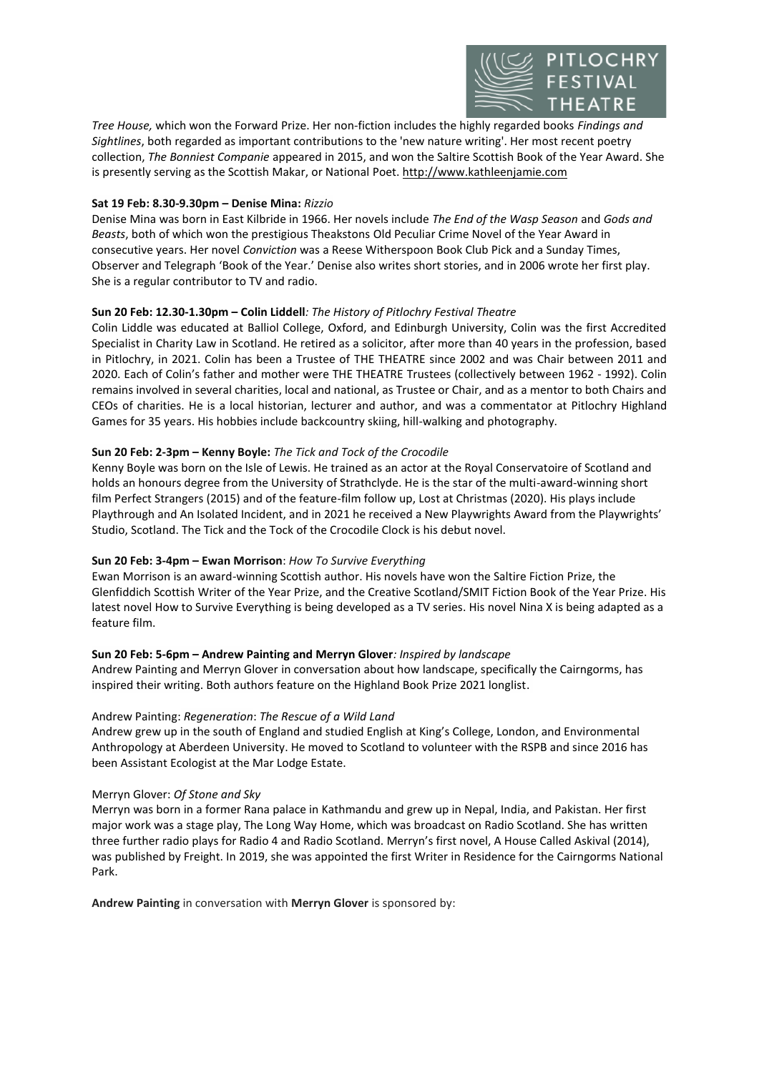

*Tree House,* which won the Forward Prize. Her non-fiction includes the highly regarded books *Findings and Sightlines*, both regarded as important contributions to the 'new nature writing'. Her most recent poetry collection, *The Bonniest Companie* appeared in 2015, and won the Saltire Scottish Book of the Year Award. She is presently serving as the Scottish Makar, or National Poet[. http://www.kathleenjamie.com](https://owa.pitlochryfestivaltheatre.com/owa/redir.aspx?C=GuUiBAC7H6ZuWScLFLttuX0Kv_wWi6F2feibmw1SYK_0SLXxBLTZCA..&URL=https%3a%2f%2flinkprotect.cudasvc.com%2furl%3fa%3dhttp%253a%252f%252fwww.kathleenjamie.com%26c%3dE%2c1%2c2nW2KIPWG2iu_ufA05As1RZTuwmdeRox8BbY8tNjVfqwdbPl_qfdyTyVmixA0MW-ySDZZtibR-zL9-8d1Z66g01cSjcGhTR-inLgF9tk18Fzwm6P6OZc%26typo%3d1)

## **Sat 19 Feb: 8.30-9.30pm – Denise Mina:** *Rizzio*

Denise Mina was born in East Kilbride in 1966. Her novels include *The End of the Wasp Season* and *Gods and Beasts*, both of which won the prestigious Theakstons Old Peculiar Crime Novel of the Year Award in consecutive years. Her novel *Conviction* was a Reese Witherspoon Book Club Pick and a Sunday Times, Observer and Telegraph 'Book of the Year.' Denise also writes short stories, and in 2006 wrote her first play. She is a regular contributor to TV and radio.

### **Sun 20 Feb: 12.30-1.30pm – Colin Liddell***: The History of Pitlochry Festival Theatre*

Colin Liddle was educated at Balliol College, Oxford, and Edinburgh University, Colin was the first Accredited Specialist in Charity Law in Scotland. He retired as a solicitor, after more than 40 years in the profession, based in Pitlochry, in 2021. Colin has been a Trustee of THE THEATRE since 2002 and was Chair between 2011 and 2020. Each of Colin's father and mother were THE THEATRE Trustees (collectively between 1962 - 1992). Colin remains involved in several charities, local and national, as Trustee or Chair, and as a mentor to both Chairs and CEOs of charities. He is a local historian, lecturer and author, and was a commentator at Pitlochry Highland Games for 35 years. His hobbies include backcountry skiing, hill-walking and photography.

#### **Sun 20 Feb: 2-3pm – Kenny Boyle:** *The Tick and Tock of the Crocodile*

Kenny Boyle was born on the Isle of Lewis. He trained as an actor at the Royal Conservatoire of Scotland and holds an honours degree from the University of Strathclyde. He is the star of the multi-award-winning short film Perfect Strangers (2015) and of the feature-film follow up, Lost at Christmas (2020). His plays include Playthrough and An Isolated Incident, and in 2021 he received a New Playwrights Award from the Playwrights' Studio, Scotland. The Tick and the Tock of the Crocodile Clock is his debut novel.

#### **Sun 20 Feb: 3-4pm – Ewan Morrison**: *How To Survive Everything*

Ewan Morrison is an award-winning Scottish author. His novels have won the Saltire Fiction Prize, the Glenfiddich Scottish Writer of the Year Prize, and the Creative Scotland/SMIT Fiction Book of the Year Prize. His latest novel How to Survive Everything is being developed as a TV series. His novel Nina X is being adapted as a feature film.

#### **Sun 20 Feb: 5-6pm – Andrew Painting and Merryn Glover***: Inspired by landscape*

Andrew Painting and Merryn Glover in conversation about how landscape, specifically the Cairngorms, has inspired their writing. Both authors feature on the Highland Book Prize 2021 longlist.

#### Andrew Painting: *Regeneration*: *The Rescue of a Wild Land*

Andrew grew up in the south of England and studied English at King's College, London, and Environmental Anthropology at Aberdeen University. He moved to Scotland to volunteer with the RSPB and since 2016 has been Assistant Ecologist at the Mar Lodge Estate.

#### Merryn Glover: *Of Stone and Sky*

Merryn was born in a former Rana palace in Kathmandu and grew up in Nepal, India, and Pakistan. Her first major work was a stage play, The Long Way Home, which was broadcast on Radio Scotland. She has written three further radio plays for Radio 4 and Radio Scotland. Merryn's first novel, A House Called Askival (2014), was published by Freight. In 2019, she was appointed the first Writer in Residence for the Cairngorms National Park.

**Andrew Painting** in conversation with **Merryn Glover** is sponsored by: